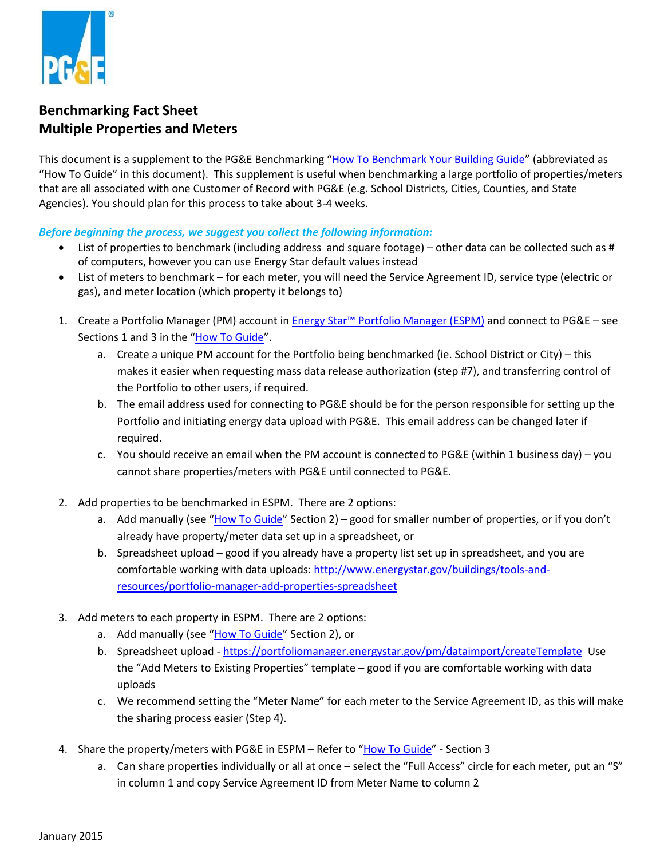

## **Benchmarking Fact Sheet Multiple Properties and Meters**

This document is a supplement to the PG&E Benchmarking "[How To Benchmark Your Building Guide](http://www.pge.com/includes/docs/pdfs/mybusiness/energysavingsrebates/analyzer/benchmarking/ABS_HowToGuide.pdf)" (abbreviated as "How To Guide" in this document). This supplement is useful when benchmarking a large portfolio of properties/meters that are all associated with one Customer of Record with PG&E (e.g. School Districts, Cities, Counties, and State Agencies). You should plan for this process to take about 3-4 weeks.

*Before beginning the process, we suggest you collect the following information:* 

- List of properties to benchmark (including address and square footage) other data can be collected such as # of computers, however you can use Energy Star default values instead
- List of meters to benchmark for each meter, you will need the Service Agreement ID, service type (electric or gas), and meter location (which property it belongs to)
- 1. Create a Portfolio Manager (PM) account in Energy Star™ [Portfolio Manager \(ESPM\)](http://www.energystar.gov/) and connect to PG&E see Sections 1 and 3 in the "<u>[How To Guide](http://www.pge.com/includes/docs/pdfs/mybusiness/energysavingsrebates/analyzer/benchmarking/ABS_HowToGuide.pdf)</u>".
	- a. Create a unique PM account for the Portfolio being benchmarked (ie. School District or City) this the Portfolio to other users, if required. makes it easier when requesting mass data release authorization (step #7), and transferring control of
	- b. The email address used for connecting to PG&E should be for the person responsible for setting up the Portfolio and initiating energy data upload with PG&E. This email address can be changed later if required.
	- c. You should receive an email when the PM account is connected to PG&E (within 1 business day) you cannot share properties/meters with PG&E until connected to PG&E.
- cannot share properties/meters with PG&E until connected to PG&E.<br>2. Add properties to be benchmarked in ESPM. There are 2 options:
	- a. Add manually (see "[How To Guide](http://www.pge.com/includes/docs/pdfs/mybusiness/energysavingsrebates/analyzer/benchmarking/ABS_HowToGuide.pdf)" Section 2) good for smaller number of properties, or if you don't already have property/meter data set up in a spreadsheet, or
	- b. Spreadsheet upload good if you already have a property list set up in spreadsheet, and you are comfortable working with data uploads[: http://www.energystar.gov/buildings/tools-and](http://www.energystar.gov/buildings/tools-and-resources/portfolio-manager-add-properties-spreadsheet)[resources/portfolio-manager-add-properties-spreadsheet](http://www.energystar.gov/buildings/tools-and-resources/portfolio-manager-add-properties-spreadsheet)
- 3. Add meters to each property in ESPM. There are 2 options:
	- a. Add manually (see "[How To Guide](http://www.pge.com/includes/docs/pdfs/mybusiness/energysavingsrebates/analyzer/benchmarking/ABS_HowToGuide.pdf)" Section 2), or
	- b. Spreadsheet upload <https://portfoliomanager.energystar.gov/pm/dataimport/createTemplate>Use the "Add Meters to Existing Properties" template – good if you are comfortable working with data uploads
	- c. We recommend setting the "Meter Name" for each meter to the Service Agreement ID, as this will make the sharing process easier (Step 4).
- 4. Share the property/meters with PG&E in ESPM Refer to "[How To Guide](http://www.pge.com/includes/docs/pdfs/mybusiness/energysavingsrebates/analyzer/benchmarking/ABS_HowToGuide.pdf)" Section 3
	- a. Can share properties individually or all at once select the "Full Access" circle for each meter, put an "S" in column 1 and copy Service Agreement ID from Meter Name to column 2